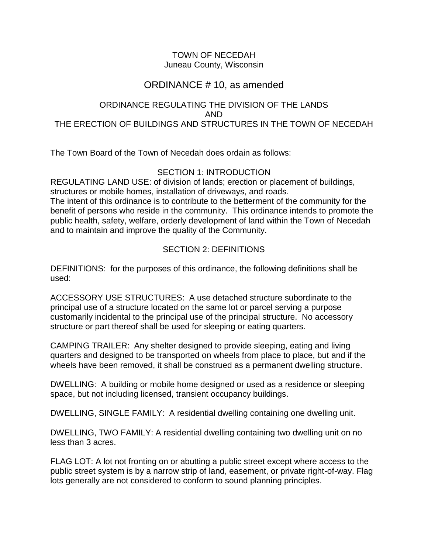#### TOWN OF NECEDAH Juneau County, Wisconsin

# ORDINANCE # 10, as amended

### ORDINANCE REGULATING THE DIVISION OF THE LANDS AND THE ERECTION OF BUILDINGS AND STRUCTURES IN THE TOWN OF NECEDAH

The Town Board of the Town of Necedah does ordain as follows:

## SECTION 1: INTRODUCTION

REGULATING LAND USE: of division of lands; erection or placement of buildings, structures or mobile homes, installation of driveways, and roads.

The intent of this ordinance is to contribute to the betterment of the community for the benefit of persons who reside in the community. This ordinance intends to promote the public health, safety, welfare, orderly development of land within the Town of Necedah and to maintain and improve the quality of the Community.

# SECTION 2: DEFINITIONS

DEFINITIONS: for the purposes of this ordinance, the following definitions shall be used:

ACCESSORY USE STRUCTURES: A use detached structure subordinate to the principal use of a structure located on the same lot or parcel serving a purpose customarily incidental to the principal use of the principal structure. No accessory structure or part thereof shall be used for sleeping or eating quarters.

CAMPING TRAILER: Any shelter designed to provide sleeping, eating and living quarters and designed to be transported on wheels from place to place, but and if the wheels have been removed, it shall be construed as a permanent dwelling structure.

DWELLING: A building or mobile home designed or used as a residence or sleeping space, but not including licensed, transient occupancy buildings.

DWELLING, SINGLE FAMILY: A residential dwelling containing one dwelling unit.

DWELLING, TWO FAMILY: A residential dwelling containing two dwelling unit on no less than 3 acres.

FLAG LOT: A lot not fronting on or abutting a public street except where access to the public street system is by a narrow strip of land, easement, or private right-of-way. Flag lots generally are not considered to conform to sound planning principles.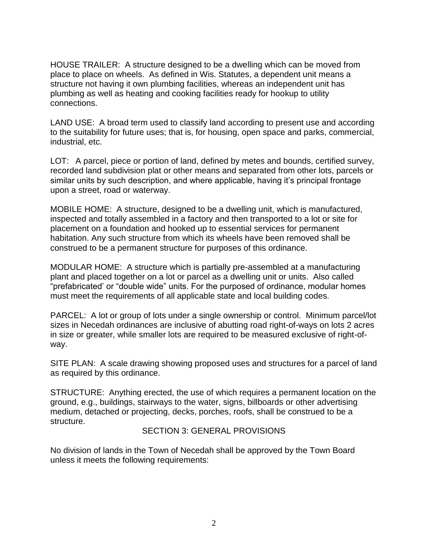HOUSE TRAILER: A structure designed to be a dwelling which can be moved from place to place on wheels. As defined in Wis. Statutes, a dependent unit means a structure not having it own plumbing facilities, whereas an independent unit has plumbing as well as heating and cooking facilities ready for hookup to utility connections.

LAND USE: A broad term used to classify land according to present use and according to the suitability for future uses; that is, for housing, open space and parks, commercial, industrial, etc.

LOT: A parcel, piece or portion of land, defined by metes and bounds, certified survey, recorded land subdivision plat or other means and separated from other lots, parcels or similar units by such description, and where applicable, having it's principal frontage upon a street, road or waterway.

MOBILE HOME: A structure, designed to be a dwelling unit, which is manufactured, inspected and totally assembled in a factory and then transported to a lot or site for placement on a foundation and hooked up to essential services for permanent habitation. Any such structure from which its wheels have been removed shall be construed to be a permanent structure for purposes of this ordinance.

MODULAR HOME: A structure which is partially pre-assembled at a manufacturing plant and placed together on a lot or parcel as a dwelling unit or units. Also called "prefabricated' or "double wide" units. For the purposed of ordinance, modular homes must meet the requirements of all applicable state and local building codes.

PARCEL: A lot or group of lots under a single ownership or control. Minimum parcel/lot sizes in Necedah ordinances are inclusive of abutting road right-of-ways on lots 2 acres in size or greater, while smaller lots are required to be measured exclusive of right-ofway.

SITE PLAN: A scale drawing showing proposed uses and structures for a parcel of land as required by this ordinance.

STRUCTURE: Anything erected, the use of which requires a permanent location on the ground, e.g., buildings, stairways to the water, signs, billboards or other advertising medium, detached or projecting, decks, porches, roofs, shall be construed to be a structure.

#### SECTION 3: GENERAL PROVISIONS

No division of lands in the Town of Necedah shall be approved by the Town Board unless it meets the following requirements: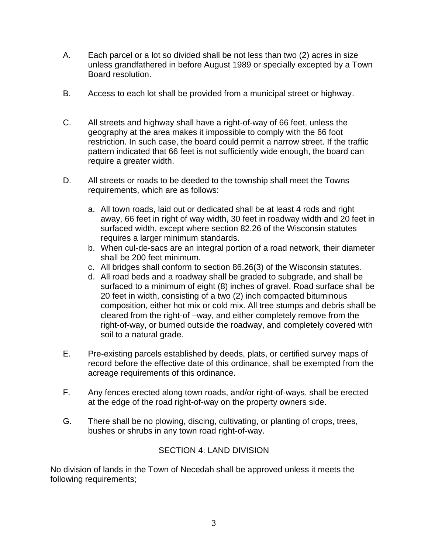- A. Each parcel or a lot so divided shall be not less than two (2) acres in size unless grandfathered in before August 1989 or specially excepted by a Town Board resolution.
- B. Access to each lot shall be provided from a municipal street or highway.
- C. All streets and highway shall have a right-of-way of 66 feet, unless the geography at the area makes it impossible to comply with the 66 foot restriction. In such case, the board could permit a narrow street. If the traffic pattern indicated that 66 feet is not sufficiently wide enough, the board can require a greater width.
- D. All streets or roads to be deeded to the township shall meet the Towns requirements, which are as follows:
	- a. All town roads, laid out or dedicated shall be at least 4 rods and right away, 66 feet in right of way width, 30 feet in roadway width and 20 feet in surfaced width, except where section 82.26 of the Wisconsin statutes requires a larger minimum standards.
	- b. When cul-de-sacs are an integral portion of a road network, their diameter shall be 200 feet minimum.
	- c. All bridges shall conform to section 86.26(3) of the Wisconsin statutes.
	- d. All road beds and a roadway shall be graded to subgrade, and shall be surfaced to a minimum of eight (8) inches of gravel. Road surface shall be 20 feet in width, consisting of a two (2) inch compacted bituminous composition, either hot mix or cold mix. All tree stumps and debris shall be cleared from the right-of –way, and either completely remove from the right-of-way, or burned outside the roadway, and completely covered with soil to a natural grade.
- E. Pre-existing parcels established by deeds, plats, or certified survey maps of record before the effective date of this ordinance, shall be exempted from the acreage requirements of this ordinance.
- F. Any fences erected along town roads, and/or right-of-ways, shall be erected at the edge of the road right-of-way on the property owners side.
- G. There shall be no plowing, discing, cultivating, or planting of crops, trees, bushes or shrubs in any town road right-of-way.

## SECTION 4: LAND DIVISION

No division of lands in the Town of Necedah shall be approved unless it meets the following requirements;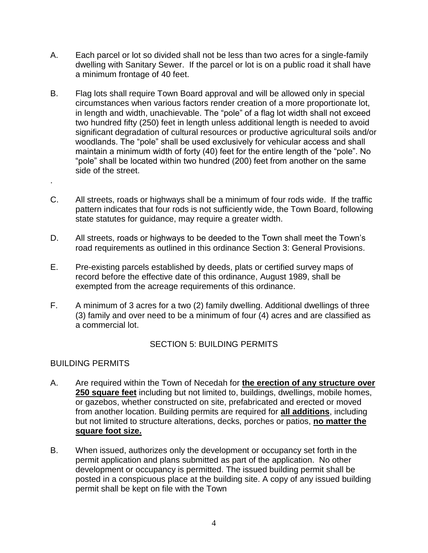- A. Each parcel or lot so divided shall not be less than two acres for a single-family dwelling with Sanitary Sewer. If the parcel or lot is on a public road it shall have a minimum frontage of 40 feet.
- B. Flag lots shall require Town Board approval and will be allowed only in special circumstances when various factors render creation of a more proportionate lot, in length and width, unachievable. The "pole" of a flag lot width shall not exceed two hundred fifty (250) feet in length unless additional length is needed to avoid significant degradation of cultural resources or productive agricultural soils and/or woodlands. The "pole" shall be used exclusively for vehicular access and shall maintain a minimum width of forty (40) feet for the entire length of the "pole". No "pole" shall be located within two hundred (200) feet from another on the same side of the street.
- C. All streets, roads or highways shall be a minimum of four rods wide. If the traffic pattern indicates that four rods is not sufficiently wide, the Town Board, following state statutes for guidance, may require a greater width.
- D. All streets, roads or highways to be deeded to the Town shall meet the Town's road requirements as outlined in this ordinance Section 3: General Provisions.
- E. Pre-existing parcels established by deeds, plats or certified survey maps of record before the effective date of this ordinance, August 1989, shall be exempted from the acreage requirements of this ordinance.
- F. A minimum of 3 acres for a two (2) family dwelling. Additional dwellings of three (3) family and over need to be a minimum of four (4) acres and are classified as a commercial lot.

## SECTION 5: BUILDING PERMITS

## BUILDING PERMITS

.

- A. Are required within the Town of Necedah for **the erection of any structure over 250 square feet** including but not limited to, buildings, dwellings, mobile homes, or gazebos, whether constructed on site, prefabricated and erected or moved from another location. Building permits are required for **all additions**, including but not limited to structure alterations, decks, porches or patios, **no matter the square foot size.**
- B. When issued, authorizes only the development or occupancy set forth in the permit application and plans submitted as part of the application. No other development or occupancy is permitted. The issued building permit shall be posted in a conspicuous place at the building site. A copy of any issued building permit shall be kept on file with the Town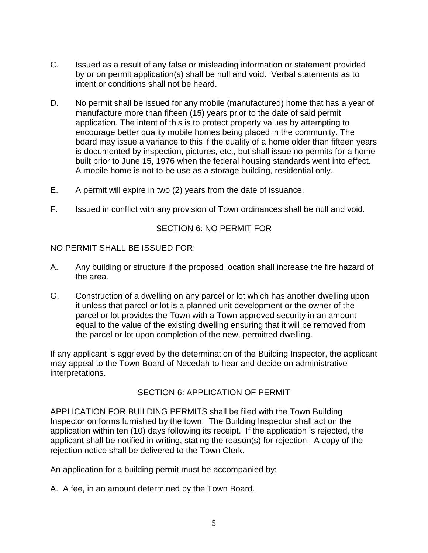- C. Issued as a result of any false or misleading information or statement provided by or on permit application(s) shall be null and void. Verbal statements as to intent or conditions shall not be heard.
- D. No permit shall be issued for any mobile (manufactured) home that has a year of manufacture more than fifteen (15) years prior to the date of said permit application. The intent of this is to protect property values by attempting to encourage better quality mobile homes being placed in the community. The board may issue a variance to this if the quality of a home older than fifteen years is documented by inspection, pictures, etc., but shall issue no permits for a home built prior to June 15, 1976 when the federal housing standards went into effect. A mobile home is not to be use as a storage building, residential only.
- E. A permit will expire in two (2) years from the date of issuance.
- F. Issued in conflict with any provision of Town ordinances shall be null and void.

### SECTION 6: NO PERMIT FOR

NO PERMIT SHALL BE ISSUED FOR:

- A. Any building or structure if the proposed location shall increase the fire hazard of the area.
- G. Construction of a dwelling on any parcel or lot which has another dwelling upon it unless that parcel or lot is a planned unit development or the owner of the parcel or lot provides the Town with a Town approved security in an amount equal to the value of the existing dwelling ensuring that it will be removed from the parcel or lot upon completion of the new, permitted dwelling.

If any applicant is aggrieved by the determination of the Building Inspector, the applicant may appeal to the Town Board of Necedah to hear and decide on administrative interpretations.

#### SECTION 6: APPLICATION OF PERMIT

APPLICATION FOR BUILDING PERMITS shall be filed with the Town Building Inspector on forms furnished by the town. The Building Inspector shall act on the application within ten (10) days following its receipt. If the application is rejected, the applicant shall be notified in writing, stating the reason(s) for rejection. A copy of the rejection notice shall be delivered to the Town Clerk.

An application for a building permit must be accompanied by:

A. A fee, in an amount determined by the Town Board.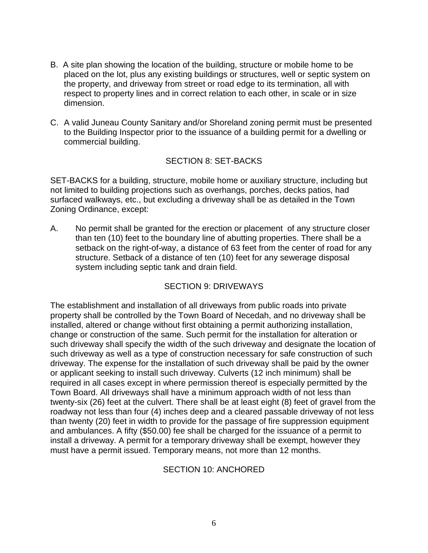- B. A site plan showing the location of the building, structure or mobile home to be placed on the lot, plus any existing buildings or structures, well or septic system on the property, and driveway from street or road edge to its termination, all with respect to property lines and in correct relation to each other, in scale or in size dimension.
- C. A valid Juneau County Sanitary and/or Shoreland zoning permit must be presented to the Building Inspector prior to the issuance of a building permit for a dwelling or commercial building.

## SECTION 8: SET-BACKS

SET-BACKS for a building, structure, mobile home or auxiliary structure, including but not limited to building projections such as overhangs, porches, decks patios, had surfaced walkways, etc., but excluding a driveway shall be as detailed in the Town Zoning Ordinance, except:

A. No permit shall be granted for the erection or placement of any structure closer than ten (10) feet to the boundary line of abutting properties. There shall be a setback on the right-of-way, a distance of 63 feet from the center of road for any structure. Setback of a distance of ten (10) feet for any sewerage disposal system including septic tank and drain field.

## SECTION 9: DRIVEWAYS

The establishment and installation of all driveways from public roads into private property shall be controlled by the Town Board of Necedah, and no driveway shall be installed, altered or change without first obtaining a permit authorizing installation, change or construction of the same. Such permit for the installation for alteration or such driveway shall specify the width of the such driveway and designate the location of such driveway as well as a type of construction necessary for safe construction of such driveway. The expense for the installation of such driveway shall be paid by the owner or applicant seeking to install such driveway. Culverts (12 inch minimum) shall be required in all cases except in where permission thereof is especially permitted by the Town Board. All driveways shall have a minimum approach width of not less than twenty-six (26) feet at the culvert. There shall be at least eight (8) feet of gravel from the roadway not less than four (4) inches deep and a cleared passable driveway of not less than twenty (20) feet in width to provide for the passage of fire suppression equipment and ambulances. A fifty (\$50.00) fee shall be charged for the issuance of a permit to install a driveway. A permit for a temporary driveway shall be exempt, however they must have a permit issued. Temporary means, not more than 12 months.

#### SECTION 10: ANCHORED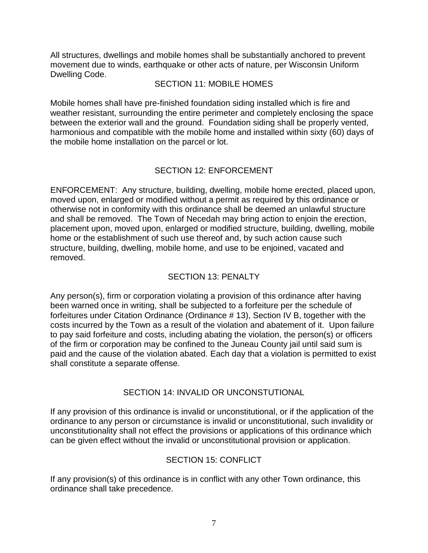All structures, dwellings and mobile homes shall be substantially anchored to prevent movement due to winds, earthquake or other acts of nature, per Wisconsin Uniform Dwelling Code.

#### SECTION 11: MOBILE HOMES

Mobile homes shall have pre-finished foundation siding installed which is fire and weather resistant, surrounding the entire perimeter and completely enclosing the space between the exterior wall and the ground. Foundation siding shall be properly vented, harmonious and compatible with the mobile home and installed within sixty (60) days of the mobile home installation on the parcel or lot.

## SECTION 12: ENFORCEMENT

ENFORCEMENT: Any structure, building, dwelling, mobile home erected, placed upon, moved upon, enlarged or modified without a permit as required by this ordinance or otherwise not in conformity with this ordinance shall be deemed an unlawful structure and shall be removed. The Town of Necedah may bring action to enjoin the erection, placement upon, moved upon, enlarged or modified structure, building, dwelling, mobile home or the establishment of such use thereof and, by such action cause such structure, building, dwelling, mobile home, and use to be enjoined, vacated and removed.

## SECTION 13: PENALTY

Any person(s), firm or corporation violating a provision of this ordinance after having been warned once in writing, shall be subjected to a forfeiture per the schedule of forfeitures under Citation Ordinance (Ordinance # 13), Section IV B, together with the costs incurred by the Town as a result of the violation and abatement of it. Upon failure to pay said forfeiture and costs, including abating the violation, the person(s) or officers of the firm or corporation may be confined to the Juneau County jail until said sum is paid and the cause of the violation abated. Each day that a violation is permitted to exist shall constitute a separate offense.

#### SECTION 14: INVALID OR UNCONSTUTIONAL

If any provision of this ordinance is invalid or unconstitutional, or if the application of the ordinance to any person or circumstance is invalid or unconstitutional, such invalidity or unconstitutionality shall not effect the provisions or applications of this ordinance which can be given effect without the invalid or unconstitutional provision or application.

## SECTION 15: CONFLICT

If any provision(s) of this ordinance is in conflict with any other Town ordinance, this ordinance shall take precedence.